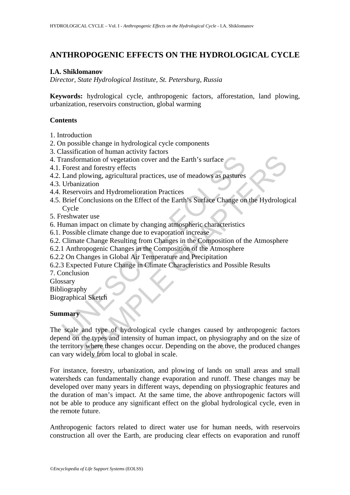# **ANTHROPOGENIC EFFECTS ON THE HYDROLOGICAL CYCLE**

### **I.A. Shiklomanov**

*Director, State Hydrological Institute, St. Petersburg, Russia* 

**Keywords:** hydrological cycle, anthropogenic factors, afforestation, land plowing, urbanization, reservoirs construction, global warming

## **Contents**

- 1. Introduction
- 2. On possible change in hydrological cycle components
- 3. Classification of human activity factors
- 4. Transformation of vegetation cover and the Earth's surface
- 4.1. Forest and forestry effects
- 4.2. Land plowing, agricultural practices, use of meadows as pastures
- 4.3. Urbanization
- 4.4. Reservoirs and Hydromelioration Practices
- ransformation of vegetation cover and the Earth's surface<br>
Forest and forestry effects<br>
Land plowing, agricultural practices, use of meadows as pastures<br>
Urbanization<br>
Reservoirs and Hydromelioration Practices<br>
Reric Concl 4.5. Brief Conclusions on the Effect of the Earth's Surface Change on the Hydrological Cycle
- 5. Freshwater use
- 6. Human impact on climate by changing atmospheric characteristics
- 6.1. Possible climate change due to evaporation increase
- 6.2. Climate Change Resulting from Changes in the Composition of the Atmosphere
- 6.2.1 Anthropogenic Changes in the Composition of the Atmosphere
- 6.2.2 On Changes in Global Air Temperature and Precipitation
- 6.2.3 Expected Future Change in Climate Characteristics and Possible Results
- 7. Conclusion
- Glossary
- Bibliography

Biographical Sketch

### **Summary**

mation of vegetation cover and the Earth's surface<br>
and forestry effects<br>
and forestry effects<br>
and forestry effects<br>
can dividend practices, use of meadows as pastures<br>
can dividend production Practices<br>
Conclusions on th The scale and type of hydrological cycle changes caused by anthropogenic factors depend on the types and intensity of human impact, on physiography and on the size of the territory where these changes occur. Depending on the above, the produced changes can vary widely from local to global in scale.

For instance, forestry, urbanization, and plowing of lands on small areas and small watersheds can fundamentally change evaporation and runoff. These changes may be developed over many years in different ways, depending on physiographic features and the duration of man's impact. At the same time, the above anthropogenic factors will not be able to produce any significant effect on the global hydrological cycle, even in the remote future.

Anthropogenic factors related to direct water use for human needs, with reservoirs construction all over the Earth, are producing clear effects on evaporation and runoff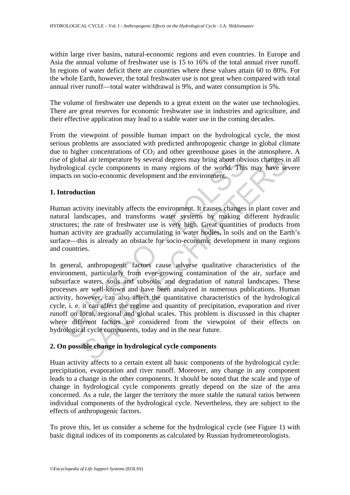within large river basins, natural-economic regions and even countries. In Europe and Asia the annual volume of freshwater use is 15 to 16% of the total annual river runoff. In regions of water deficit there are countries where these values attain 60 to 80%. For the whole Earth, however, the total freshwater use is not great when compared with total annual river runoff—total water withdrawal is 9%, and water consumption is 5%.

The volume of freshwater use depends to a great extent on the water use technologies. There are great reserves for economic freshwater use in industries and agriculture, and their effective application may lead to a stable water use in the coming decades.

From the viewpoint of possible human impact on the hydrological cycle, the most serious problems are associated with predicted anthropogenic change in global climate due to higher concentrations of  $CO<sub>2</sub>$  and other greenhouse gases in the atmosphere. A rise of global air temperature by several degrees may bring about obvious changes in all hydrological cycle components in many regions of the world. This may have severe impacts on socio-economic development and the environment.

# **1. Introduction**

Human activity inevitably affects the environment. It causes changes in plant cover and natural landscapes, and transforms water systems by making different hydraulic structures; the rate of freshwater use is very high. Great quantities of products from human activity are gradually accumulating in water bodies, in soils and on the Earth's surface—this is already an obstacle for socio-economic development in many regions and countries.

of global air temperature by several degrees may bring about obv<br>cological cycle components in many regions of the world. This<br>acts on socio-economic development and the environment.<br>**Atroduction**<br>man activity inevitably a and air temperature by several degrees may bring about obvious changes is<br>al cycle components in many regions of the world. This may have se<br>socio-economic development and the environment.<br>**Etion**<br>ivity inevitably affects In general, anthropogenic factors cause adverse qualitative characteristics of the environment, particularly from ever-growing contamination of the air, surface and subsurface waters, soils and subsoils, and degradation of natural landscapes. These processes are well-known and have been analyzed in numerous publications. Human activity, however, can also affect the quantitative characteristics of the hydrological cycle, i. e. it can affect the regime and quantity of precipitation, evaporation and river runoff on local, regional and global scales. This problem is discussed in this chapter where different factors are considered from the viewpoint of their effects on hydrological cycle components, today and in the near future.

# **2. On possible change in hydrological cycle components**

Huan activity affects to a certain extent all basic components of the hydrological cycle: precipitation, evaporation and river runoff. Moreover, any change in any component leads to a change in the other components. It should be noted that the scale and type of change in hydrological cycle components greatly depend on the size of the area concerned. As a rule, the larger the territory the more stable the natural ratios between individual components of the hydrological cycle. Nevertheless, they are subject to the effects of anthropogenic factors.

To prove this, let us consider a scheme for the hydrological cycle (see Figure 1) with basic digital indices of its components as calculated by Russian hydrometeorologists.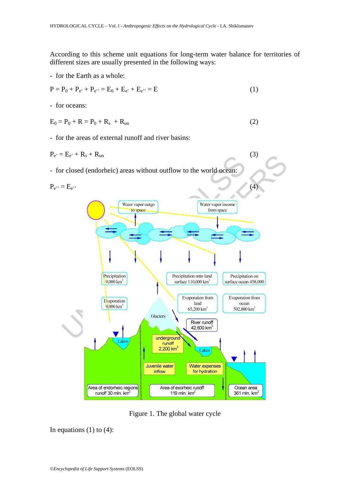According to this scheme unit equations for long-term water balance for territories of different sizes are usually presented in the following ways:

- for the Earth as a whole:

$$
P = P_0 + P_{e'} + P_{e''} = E_0 + E_{e'} + E_{e''} = E
$$
\n(1)

- for oceans:

$$
E_0 = P_0 + R = P_0 + R_s + R_{un}
$$
 (2)

- for the areas of external runoff and river basins:

$$
P_{e'} = E_{e'} + R_s + R_{un}
$$
\n
$$
\tag{3}
$$

- for closed (endorheic) areas without outflow to the world ocean:



Figure 1. The global water cycle

In equations  $(1)$  to  $(4)$ :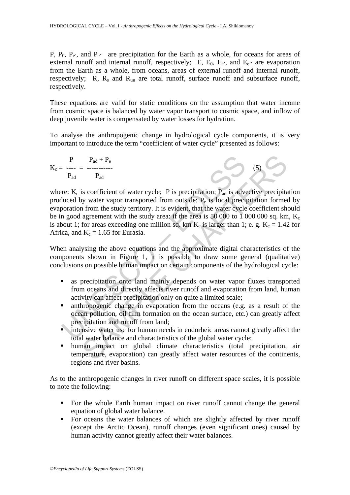P,  $P_0$ ,  $P_e$ <sup>'</sup>, and  $P_e$ <sup>'</sup> are precipitation for the Earth as a whole, for oceans for areas of external runoff and internal runoff, respectively; E,  $E_0$ ,  $E_e$ , and  $E_e$ <sup>3</sup> are evaporation from the Earth as a whole, from oceans, areas of external runoff and internal runoff, respectively;  $R$ ,  $R_s$  and  $R_{un}$  are total runoff, surface runoff and subsurface runoff, respectively.

These equations are valid for static conditions on the assumption that water income from cosmic space is balanced by water vapor transport to cosmic space, and inflow of deep juvenile water is compensated by water losses for hydration.

To analyse the anthropogenic change in hydrological cycle components, it is very important to introduce the term "coefficient of water cycle" presented as follows:

$$
K_c = \frac{P}{P_{ad}} = \frac{P_{ad} + P_e}{P_{ad}}
$$
 (5) (5)

P<br>  $P_{\text{ad}} = \frac{P_{\text{ad}} + P_e}{P_{\text{ad}}}$ <br>  $P_{\text{ad}}$ <br>
Te:  $K_e$  is coefficient of water cycle; P is precipitation;  $P_{\text{ad}}$  is adve<br>
tuced by water vapor transported from outside;  $P_e$  is local preciporation from the study terri  $P_{\text{ad}} + P_{\text{e}}$ <br>  $P_{\text{ad}}$  is coefficient of water cycle; P is precipitation;  $P_{\text{ad}}$  is advective precipitation of from the study territory. It is veident, that the water cycle coefficient of norm and agreement with where:  $K_c$  is coefficient of water cycle; P is precipitation;  $P_{ad}$  is advective precipitation produced by water vapor transported from outside;  $P_e$  is local precipitation formed by evaporation from the study territory. It is evident, that the water cycle coefficient should be in good agreement with the study area: if the area is  $50\,000$  to 1 000 000 sq. km,  $K_c$ is about 1; for areas exceeding one million sq. km  $K_c$  is larger than 1; e. g.  $K_c = 1.42$  for Africa, and  $K_c = 1.65$  for Eurasia.

When analysing the above equations and the approximate digital characteristics of the components shown in Figure 1, it is possible to draw some general (qualitative) conclusions on possible human impact on certain components of the hydrological cycle:

- **as precipitation onto land mainly depends on water vapor fluxes transported** from oceans and directly affects river runoff and evaporation from land, human activity can affect precipitation only on quite a limited scale;
- anthropogenic change in evaporation from the oceans (e.g. as a result of the ocean pollution, oil film formation on the ocean surface, etc.) can greatly affect precipitation and runoff from land;
- intensive water use for human needs in endorheic areas cannot greatly affect the total water balance and characteristics of the global water cycle;
- human impact on global climate characteristics (total precipitation, air temperature, evaporation) can greatly affect water resources of the continents, regions and river basins.

As to the anthropogenic changes in river runoff on different space scales, it is possible to note the following:

- For the whole Earth human impact on river runoff cannot change the general equation of global water balance.
- For oceans the water balances of which are slightly affected by river runoff (except the Arctic Ocean), runoff changes (even significant ones) caused by human activity cannot greatly affect their water balances.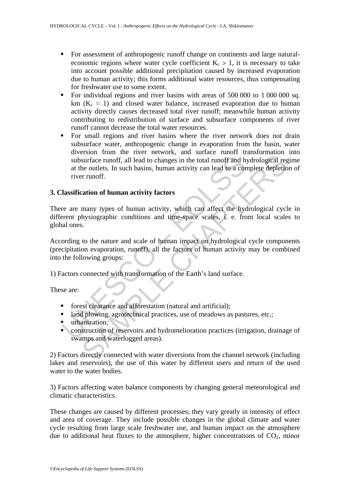- For assessment of anthropogenic runoff change on continents and large naturaleconomic regions where water cycle coefficient  $K_c > 1$ , it is necessary to take into account possible additional precipitation caused by increased evaporation due to human activity; this forms additional water resources, thus compensating for freshwater use to some extent.
- For individual regions and river basins with areas of 500 000 to 1 000 000 sq. km ( $K_c \approx 1$ ) and closed water balance, increased evaporation due to human activity directly causes decreased total river runoff; meanwhile human activity contributing to redistribution of surface and subsurface components of river runoff cannot decrease the total water resources.
- subsurface runoff, all lead to changes in the total runoff and h<br>at the outlets. In such basins, human activity can lead to a cor<br>river runoff.<br>**Tassification of human activity factors**<br>**Tassification of human activity fac** Extract runder that increasing the total runder cumour and startine runder and startine runder. In such basins, human activity can lead to a complete depletion runoff.<br>
ation of human activity factors<br>
many types of human For small regions and river basins where the river network does not drain subsurface water, anthropogenic change in evaporation from the basin, water diversion from the river network, and surface runoff transformation into subsurface runoff, all lead to changes in the total runoff and hydrological regime at the outlets. In such basins, human activity can lead to a complete depletion of river runoff.

### **3. Classification of human activity factors**

There are many types of human activity, which can affect the hydrological cycle in different physiographic conditions and time-space scales, i. e. from local scales to global ones.

According to the nature and scale of human impact on hydrological cycle components (precipitation evaporation, runoff), all the factors of human activity may be combined into the following groups:

1) Factors connected with transformation of the Earth's land surface.

These are:

- **forest clearance and afforestation (natural and artificial);**
- I and plowing, agrotechnical practices, use of meadows as pastures, etc.;
- urbanization;
- **Construction of reservoirs and hydromelioration practices (irrigation, drainage of** swamps and waterlogged areas).

2) Factors directly connected with water diversions from the channel network (including lakes and reservoirs), the use of this water by different users and return of the used water to the water bodies.

3) Factors affecting water balance components by changing general meteorological and climatic characteristics.

These changes are caused by different processes; they vary greatly in intensity of effect and area of coverage. They include possible changes in the global climate and water cycle resulting from large scale freshwater use, and human impact on the atmosphere due to additional heat fluxes to the atmosphere, higher concentrations of  $CO<sub>2</sub>$ , minor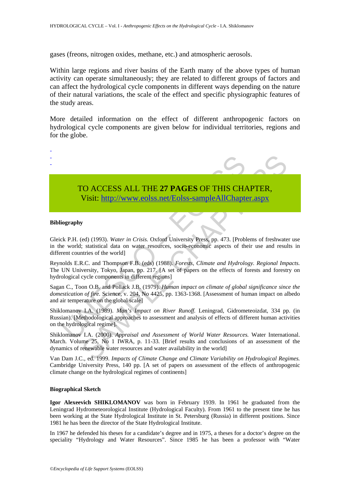gases (freons, nitrogen oxides, methane, etc.) and atmospheric aerosols.

Within large regions and river basins of the Earth many of the above types of human activity can operate simultaneously; they are related to different groups of factors and can affect the hydrological cycle components in different ways depending on the nature of their natural variations, the scale of the effect and specific physiographic features of the study areas.

More detailed information on the effect of different anthropogenic factors on hydrological cycle components are given below for individual territories, regions and for the globe.



#### **Bibliography**

Gleick P.H. (ed) (1993). *Water in Crisis.* Oxford University Press, pp. 473. [Problems of freshwater use in the world; statistical data on water resources, socio-economic aspects of their use and results in different countries of the world]

Reynolds E.R.C. and Thompson F.B. (eds) (1988). *Forests, Climate and Hydrology. Regional Impacts.* The UN University, Tokyo, Japan, pp. 217. [A set of papers on the effects of forests and forestry on hydrological cycle components in different regions]

Sagan C., Toon O.B. and Pollack J.B. (1979). *Human impact on climate of global significance since the domestication of fire.* Science, v. 204, No 4425, pp. 1363-1368. [Assessment of human impact on albedo and air temperature on the global scale]

Shiklomanov I.A. (1989). *Man's Impact on River Runoff.* Leningrad, Gidrometeoizdat, 334 pp. (in Russian). [Methodological approaches to assessment and analysis of effects of different human activities on the hydrological regime].

Shiklomanov I.A. (2000). *Appraisal and Assessment of World Water Resources.* Water International. March. Volume 25, No 1 IWRA, p. 11-33. [Brief results and conclusions of an assessment of the dynamics of renewable water resources and water availability in the world]

Van Dam J.C., ed. 1999. *Impacts of Climate Change and Climate Variability on Hydrological Regimes.* Cambridge University Press, 140 pp. [A set of papers on assessment of the effects of anthropogenic climate change on the hydrological regimes of continents]

#### **Biographical Sketch**

**Igor Alexeevich SHIKLOMANOV** was born in February 1939. In 1961 he graduated from the Leningrad Hydrometeorological Institute (Hydrological Faculty). From 1961 to the present time he has been working at the State Hydrological Institute in St. Petersburg (Russia) in different positions. Since 1981 he has been the director of the State Hydrological Institute.

In 1967 he defended his theses for a candidate's degree and in 1975, a theses for a doctor's degree on the speciality "Hydrology and Water Resources". Since 1985 he has been a professor with "Water